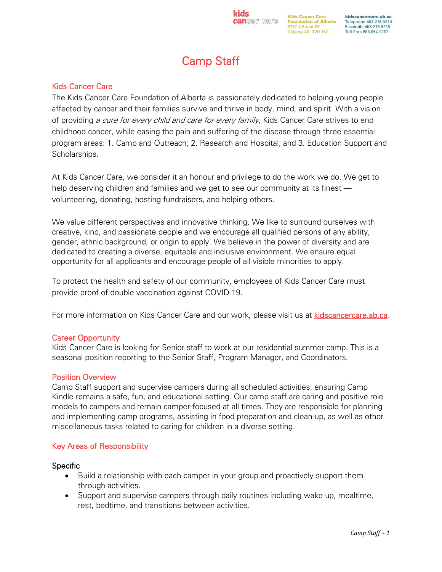# Camp Staff

**kids** 

cancer care

# Kids Cancer Care

The Kids Cancer Care Foundation of Alberta is passionately dedicated to helping young people affected by cancer and their families survive and thrive in body, mind, and spirit. With a vision of providing a cure for every child and care for every family, Kids Cancer Care strives to end childhood cancer, while easing the pain and suffering of the disease through three essential program areas: 1. Camp and Outreach; 2. Research and Hospital; and 3. Education Support and Scholarships.

At Kids Cancer Care, we consider it an honour and privilege to do the work we do. We get to help deserving children and families and we get to see our community at its finest volunteering, donating, hosting fundraisers, and helping others.

We value different perspectives and innovative thinking. We like to surround ourselves with creative, kind, and passionate people and we encourage all qualified persons of any ability, gender, ethnic background, or origin to apply. We believe in the power of diversity and are dedicated to creating a diverse, equitable and inclusive environment. We ensure equal opportunity for all applicants and encourage people of all visible minorities to apply.

To protect the health and safety of our community, employees of Kids Cancer Care must provide proof of double vaccination against COVID-19.

For more information on Kids Cancer Care and our work, please visit us at [kidscancercare.ab.ca.](http://www.kidscancercare.ab.ca/)

## Career Opportunity

Kids Cancer Care is looking for Senior staff to work at our residential summer camp. This is a seasonal position reporting to the Senior Staff, Program Manager, and Coordinators.

## Position Overview

Camp Staff support and supervise campers during all scheduled activities, ensuring Camp Kindle remains a safe, fun, and educational setting. Our camp staff are caring and positive role models to campers and remain camper-focused at all times. They are responsible for planning and implementing camp programs, assisting in food preparation and clean-up, as well as other miscellaneous tasks related to caring for children in a diverse setting.

## Key Areas of Responsibility

## **Specific**

- Build a relationship with each camper in your group and proactively support them through activities.
- Support and supervise campers through daily routines including wake up, mealtime, rest, bedtime, and transitions between activities.